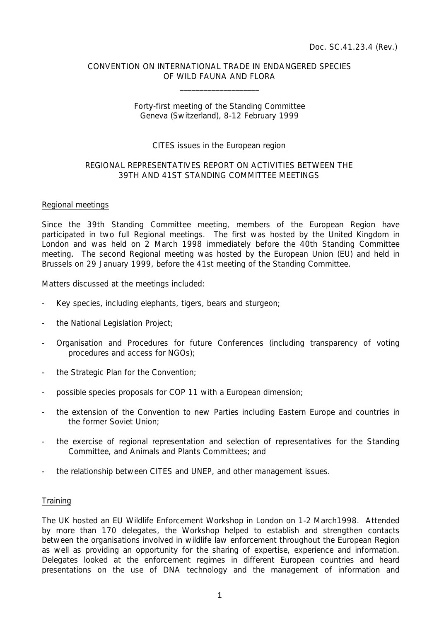# CONVENTION ON INTERNATIONAL TRADE IN ENDANGERED SPECIES OF WILD FAUNA AND FLORA

 $\overline{\phantom{a}}$  , which is a set of the set of the set of the set of the set of the set of the set of the set of the set of the set of the set of the set of the set of the set of the set of the set of the set of the set of th

# Forty-first meeting of the Standing Committee Geneva (Switzerland), 8-12 February 1999

# CITES issues in the European region

# REGIONAL REPRESENTATIVES REPORT ON ACTIVITIES BETWEEN THE 39TH AND 41ST STANDING COMMITTEE MEETINGS

#### Regional meetings

Since the 39th Standing Committee meeting, members of the European Region have participated in two full Regional meetings. The first was hosted by the United Kingdom in London and was held on 2 March 1998 immediately before the 40th Standing Committee meeting. The second Regional meeting was hosted by the European Union (EU) and held in Brussels on 29 January 1999, before the 41st meeting of the Standing Committee.

Matters discussed at the meetings included:

- Key species, including elephants, tigers, bears and sturgeon;
- the National Legislation Project;
- Organisation and Procedures for future Conferences (including transparency of voting procedures and access for NGOs);
- the Strategic Plan for the Convention;
- possible species proposals for COP 11 with a European dimension;
- the extension of the Convention to new Parties including Eastern Europe and countries in the former Soviet Union;
- the exercise of regional representation and selection of representatives for the Standing Committee, and Animals and Plants Committees; and
- the relationship between CITES and UNEP, and other management issues.

# **Training**

The UK hosted an EU Wildlife Enforcement Workshop in London on 1-2 March1998. Attended by more than 170 delegates, the Workshop helped to establish and strengthen contacts between the organisations involved in wildlife law enforcement throughout the European Region as well as providing an opportunity for the sharing of expertise, experience and information. Delegates looked at the enforcement regimes in different European countries and heard presentations on the use of DNA technology and the management of information and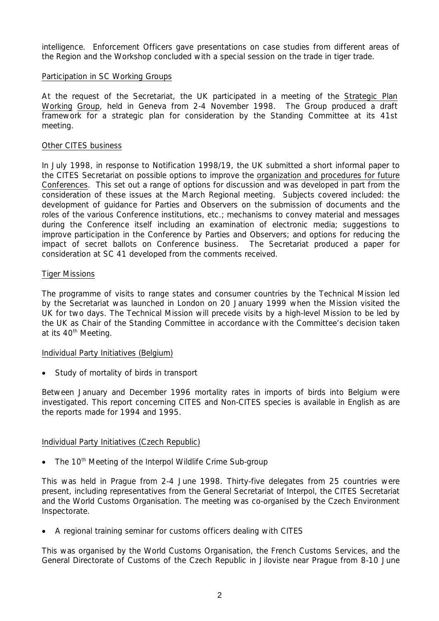intelligence. Enforcement Officers gave presentations on case studies from different areas of the Region and the Workshop concluded with a special session on the trade in tiger trade.

# Participation in SC Working Groups

At the request of the Secretariat, the UK participated in a meeting of the Strategic Plan Working Group, held in Geneva from 2-4 November 1998. The Group produced a draft framework for a strategic plan for consideration by the Standing Committee at its 41st meeting.

# Other CITES business

In July 1998, in response to Notification 1998/19, the UK submitted a short informal paper to the CITES Secretariat on possible options to improve the organization and procedures for future Conferences. This set out a range of options for discussion and was developed in part from the consideration of these issues at the March Regional meeting. Subjects covered included: the development of guidance for Parties and Observers on the submission of documents and the roles of the various Conference institutions, etc.; mechanisms to convey material and messages during the Conference itself including an examination of electronic media; suggestions to improve participation in the Conference by Parties and Observers; and options for reducing the impact of secret ballots on Conference business. The Secretariat produced a paper for consideration at SC 41 developed from the comments received.

# Tiger Missions

The programme of visits to range states and consumer countries by the Technical Mission led by the Secretariat was launched in London on 20 January 1999 when the Mission visited the UK for two days. The Technical Mission will precede visits by a high-level Mission to be led by the UK as Chair of the Standing Committee in accordance with the Committee's decision taken at its 40<sup>th</sup> Meeting.

# Individual Party Initiatives (Belgium)

• Study of mortality of birds in transport

Between January and December 1996 mortality rates in imports of birds into Belgium were investigated. This report concerning CITES and Non-CITES species is available in English as are the reports made for 1994 and 1995.

# Individual Party Initiatives (Czech Republic)

• The 10<sup>th</sup> Meeting of the Interpol Wildlife Crime Sub-group

This was held in Prague from 2-4 June 1998. Thirty-five delegates from 25 countries were present, including representatives from the General Secretariat of Interpol, the CITES Secretariat and the World Customs Organisation. The meeting was co-organised by the Czech Environment Inspectorate.

• A regional training seminar for customs officers dealing with CITES

This was organised by the World Customs Organisation, the French Customs Services, and the General Directorate of Customs of the Czech Republic in Jiloviste near Prague from 8-10 June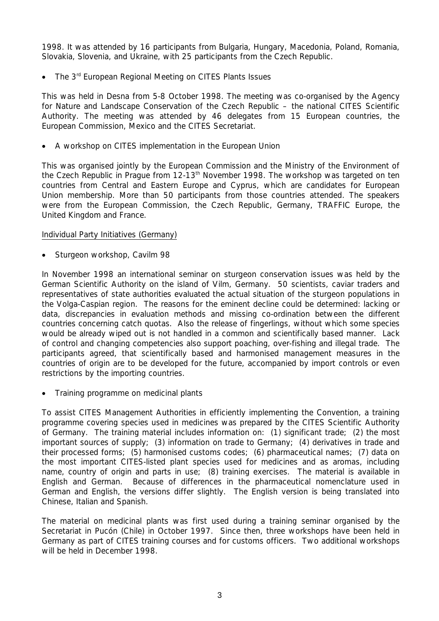1998. It was attended by 16 participants from Bulgaria, Hungary, Macedonia, Poland, Romania, Slovakia, Slovenia, and Ukraine, with 25 participants from the Czech Republic.

The 3<sup>rd</sup> European Regional Meeting on CITES Plants Issues

This was held in Desna from 5-8 October 1998. The meeting was co-organised by the Agency for Nature and Landscape Conservation of the Czech Republic – the national CITES Scientific Authority. The meeting was attended by 46 delegates from 15 European countries, the European Commission, Mexico and the CITES Secretariat.

• A workshop on CITES implementation in the European Union

This was organised jointly by the European Commission and the Ministry of the Environment of the Czech Republic in Prague from 12-13<sup>th</sup> November 1998. The workshop was targeted on ten countries from Central and Eastern Europe and Cyprus, which are candidates for European Union membership. More than 50 participants from those countries attended. The speakers were from the European Commission, the Czech Republic, Germany, TRAFFIC Europe, the United Kingdom and France.

# Individual Party Initiatives (Germany)

Sturgeon workshop, Cavilm 98

In November 1998 an international seminar on sturgeon conservation issues was held by the German Scientific Authority on the island of Vilm, Germany. 50 scientists, caviar traders and representatives of state authorities evaluated the actual situation of the sturgeon populations in the Volga-Caspian region. The reasons for the eminent decline could be determined: lacking or data, discrepancies in evaluation methods and missing co-ordination between the different countries concerning catch quotas. Also the release of fingerlings, without which some species would be already wiped out is not handled in a common and scientifically based manner. Lack of control and changing competencies also support poaching, over-fishing and illegal trade. The participants agreed, that scientifically based and harmonised management measures in the countries of origin are to be developed for the future, accompanied by import controls or even restrictions by the importing countries.

• Training programme on medicinal plants

To assist CITES Management Authorities in efficiently implementing the Convention, a training programme covering species used in medicines was prepared by the CITES Scientific Authority of Germany. The training material includes information on: (1) significant trade; (2) the most important sources of supply; (3) information on trade to Germany; (4) derivatives in trade and their processed forms; (5) harmonised customs codes; (6) pharmaceutical names; (7) data on the most important CITES-listed plant species used for medicines and as aromas, including name, country of origin and parts in use; (8) training exercises. The material is available in English and German. Because of differences in the pharmaceutical nomenclature used in German and English, the versions differ slightly. The English version is being translated into Chinese, Italian and Spanish.

The material on medicinal plants was first used during a training seminar organised by the Secretariat in Pucón (Chile) in October 1997. Since then, three workshops have been held in Germany as part of CITES training courses and for customs officers. Two additional workshops will be held in December 1998.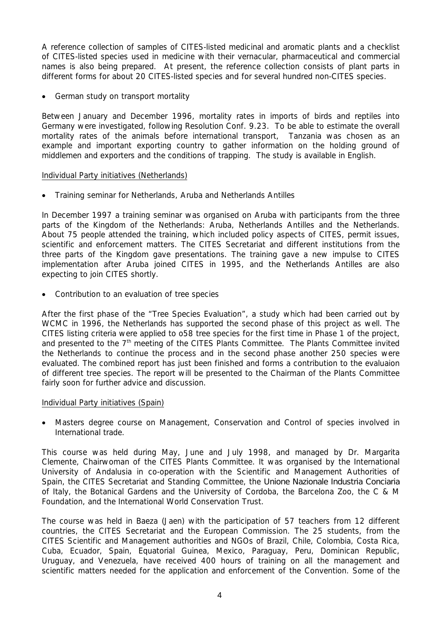A reference collection of samples of CITES-listed medicinal and aromatic plants and a checklist of CITES-listed species used in medicine with their vernacular, pharmaceutical and commercial names is also being prepared. At present, the reference collection consists of plant parts in different forms for about 20 CITES-listed species and for several hundred non-CITES species.

German study on transport mortality

Between January and December 1996, mortality rates in imports of birds and reptiles into Germany were investigated, following Resolution Conf. 9.23. To be able to estimate the overall mortality rates of the animals before international transport, Tanzania was chosen as an example and important exporting country to gather information on the holding ground of middlemen and exporters and the conditions of trapping. The study is available in English.

# Individual Party initiatives (Netherlands)

• Training seminar for Netherlands, Aruba and Netherlands Antilles

In December 1997 a training seminar was organised on Aruba with participants from the three parts of the Kingdom of the Netherlands: Aruba, Netherlands Antilles and the Netherlands. About 75 people attended the training, which included policy aspects of CITES, permit issues, scientific and enforcement matters. The CITES Secretariat and different institutions from the three parts of the Kingdom gave presentations. The training gave a new impulse to CITES implementation after Aruba joined CITES in 1995, and the Netherlands Antilles are also expecting to join CITES shortly.

• Contribution to an evaluation of tree species

After the first phase of the "Tree Species Evaluation", a study which had been carried out by WCMC in 1996, the Netherlands has supported the second phase of this project as well. The CITES listing criteria were applied to o58 tree species for the first time in Phase 1 of the project, and presented to the 7<sup>th</sup> meeting of the CITES Plants Committee. The Plants Committee invited the Netherlands to continue the process and in the second phase another 250 species were evaluated. The combined report has just been finished and forms a contribution to the evaluaion of different tree species. The report will be presented to the Chairman of the Plants Committee fairly soon for further advice and discussion.

# Individual Party initiatives (Spain)

• Masters degree course on Management, Conservation and Control of species involved in International trade.

This course was held during May, June and July 1998, and managed by Dr. Margarita Clemente, Chairwoman of the CITES Plants Committee. It was organised by the International University of Andalusia in co-operation with the Scientific and Management Authorities of Spain, the CITES Secretariat and Standing Committee, the *Unione Nazionale Industria Conciaria* of Italy, the Botanical Gardens and the University of Cordoba, the Barcelona Zoo, the C & M Foundation, and the International World Conservation Trust.

The course was held in Baeza (Jaen) with the participation of 57 teachers from 12 different countries, the CITES Secretariat and the European Commission. The 25 students, from the CITES Scientific and Management authorities and NGOs of Brazil, Chile, Colombia, Costa Rica, Cuba, Ecuador, Spain, Equatorial Guinea, Mexico, Paraguay, Peru, Dominican Republic, Uruguay, and Venezuela, have received 400 hours of training on all the management and scientific matters needed for the application and enforcement of the Convention. Some of the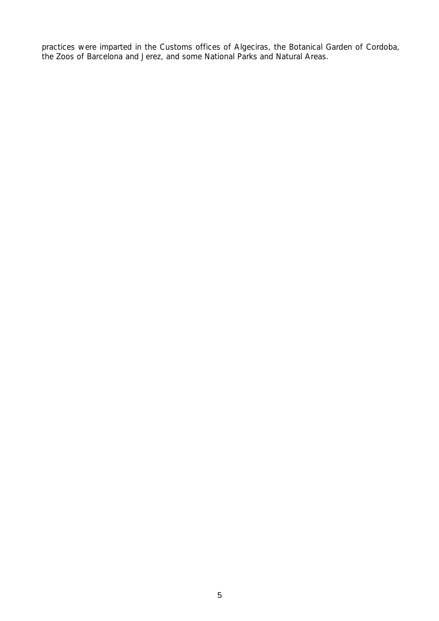practices were imparted in the Customs offices of Algeciras, the Botanical Garden of Cordoba, the Zoos of Barcelona and Jerez, and some National Parks and Natural Areas.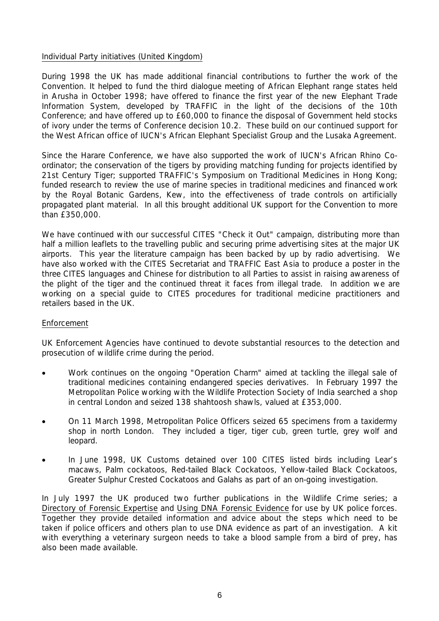# Individual Party initiatives (United Kingdom)

During 1998 the UK has made additional financial contributions to further the work of the Convention. It helped to fund the third dialogue meeting of African Elephant range states held in Arusha in October 1998; have offered to finance the first year of the new Elephant Trade Information System, developed by TRAFFIC in the light of the decisions of the 10th Conference; and have offered up to £60,000 to finance the disposal of Government held stocks of ivory under the terms of Conference decision 10.2. These build on our continued support for the West African office of IUCN's African Elephant Specialist Group and the Lusaka Agreement.

Since the Harare Conference, we have also supported the work of IUCN's African Rhino Coordinator; the conservation of the tigers by providing matching funding for projects identified by 21st Century Tiger; supported TRAFFIC's Symposium on Traditional Medicines in Hong Kong; funded research to review the use of marine species in traditional medicines and financed work by the Royal Botanic Gardens, Kew, into the effectiveness of trade controls on artificially propagated plant material. In all this brought additional UK support for the Convention to more than £350,000.

We have continued with our successful CITES "Check it Out" campaign, distributing more than half a million leaflets to the travelling public and securing prime advertising sites at the major UK airports. This year the literature campaign has been backed by up by radio advertising. We have also worked with the CITES Secretariat and TRAFFIC East Asia to produce a poster in the three CITES languages and Chinese for distribution to all Parties to assist in raising awareness of the plight of the tiger and the continued threat it faces from illegal trade. In addition we are working on a special guide to CITES procedures for traditional medicine practitioners and retailers based in the UK.

# Enforcement

UK Enforcement Agencies have continued to devote substantial resources to the detection and prosecution of wildlife crime during the period.

- Work continues on the ongoing "Operation Charm" aimed at tackling the illegal sale of traditional medicines containing endangered species derivatives. In February 1997 the Metropolitan Police working with the Wildlife Protection Society of India searched a shop in central London and seized 138 shahtoosh shawls, valued at £353,000.
- On 11 March 1998, Metropolitan Police Officers seized 65 specimens from a taxidermy shop in north London. They included a tiger, tiger cub, green turtle, grey wolf and leopard.
- In June 1998, UK Customs detained over 100 CITES listed birds including Lear's macaws, Palm cockatoos, Red-tailed Black Cockatoos, Yellow-tailed Black Cockatoos, Greater Sulphur Crested Cockatoos and Galahs as part of an on-going investigation.

In July 1997 the UK produced two further publications in the Wildlife Crime series*;* a Directory of Forensic Expertise and Using DNA Forensic Evidence for use by UK police forces. Together they provide detailed information and advice about the steps which need to be taken if police officers and others plan to use DNA evidence as part of an investigation. A kit with everything a veterinary surgeon needs to take a blood sample from a bird of prey, has also been made available.